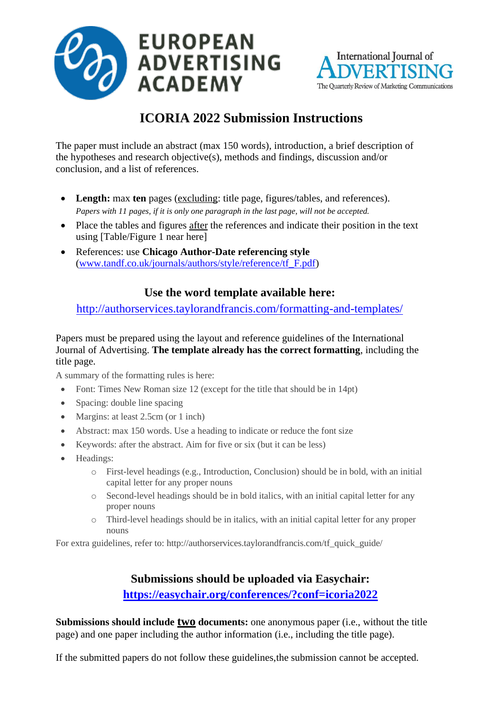



# **ICORIA 2022 Submission Instructions**

The paper must include an abstract (max 150 words), introduction, a brief description of the hypotheses and research objective(s), methods and findings, discussion and/or conclusion, and a list of references.

- **Length:** max **ten** pages (excluding: title page, figures/tables, and references). *Papers with 11 pages, if it is only one paragraph in the last page, will not be accepted.*
- Place the tables and figures after the references and indicate their position in the text using [Table/Figure 1 near here]
- References: use **Chicago Author-Date referencing style** [\(www.tandf.co.uk/journals/authors/style/reference/tf\\_F.pdf\)](http://www.tandf.co.uk/journals/authors/style/reference/tf_F.pdf)

## **Use the word template available here:**

<http://authorservices.taylorandfrancis.com/formatting-and-templates/>

#### Papers must be prepared using the layout and reference guidelines of the International Journal of Advertising. **The template already has the correct formatting**, including the title page.

A summary of the formatting rules is here:

- Font: Times New Roman size 12 (except for the title that should be in 14pt)
- Spacing: double line spacing
- Margins: at least 2.5cm (or 1 inch)
- Abstract: max 150 words. Use a heading to indicate or reduce the font size
- Keywords: after the abstract. Aim for five or six (but it can be less)
- Headings:
	- o First-level headings (e.g., Introduction, Conclusion) should be in bold, with an initial capital letter for any proper nouns
	- o Second-level headings should be in bold italics, with an initial capital letter for any proper nouns
	- o Third-level headings should be in italics, with an initial capital letter for any proper nouns

For extra guidelines, refer to: [http://authorservices.taylorandfrancis.com/tf\\_quick\\_guide/](http://authorservices.taylorandfrancis.com/tf_quick_guide/)

## **Submissions should be uploaded via Easychair: <https://easychair.org/conferences/?conf=icoria2022>**

**Submissions should include <u>two</u> documents:** one anonymous paper (i.e., without the title page) and one paper including the author information (i.e., including the title page).

If the submitted papers do not follow these guidelines,the submission cannot be accepted.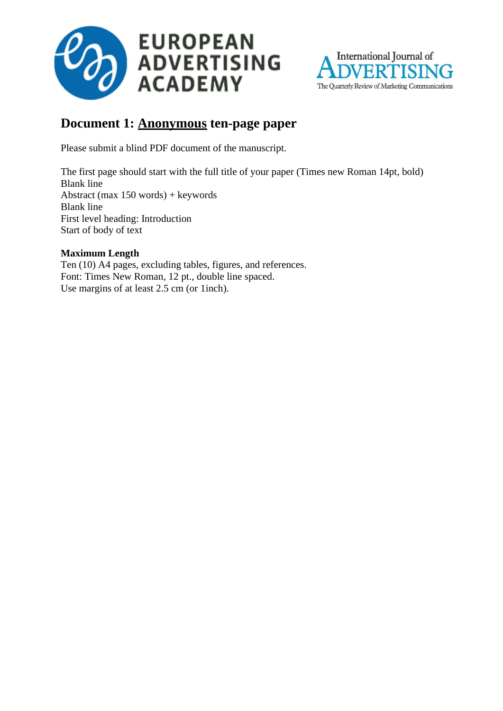



# **Document 1: Anonymous ten-page paper**

Please submit a blind PDF document of the manuscript.

The first page should start with the full title of your paper (Times new Roman 14pt, bold) Blank line Abstract (max 150 words) + keywords Blank line First level heading: Introduction Start of body of text

### **Maximum Length**

Ten (10) A4 pages, excluding tables, figures, and references. Font: Times New Roman, 12 pt., double line spaced. Use margins of at least 2.5 cm (or 1inch).